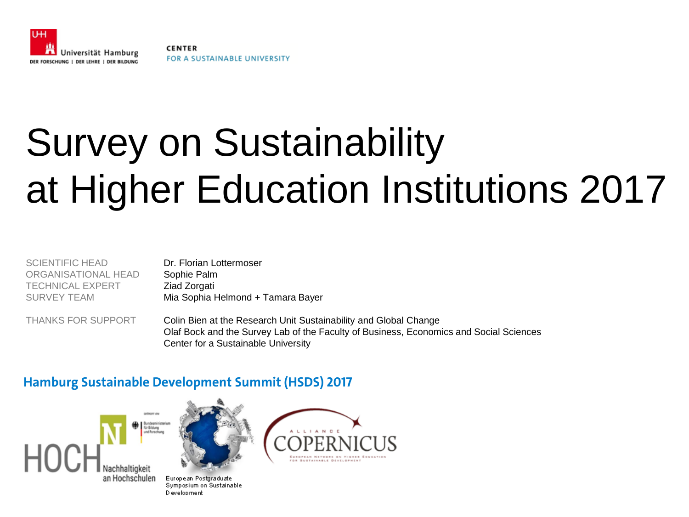

**CENTER** FOR A SUSTAINABLE UNIVERSITY

# Survey on Sustainability at Higher Education Institutions 2017

| SCIENTIFIC HEAD     | Dr. Florian Lottermoser           |
|---------------------|-----------------------------------|
| ORGANISATIONAL HEAD | Sophie Palm                       |
| TECHNICAL EXPERT    | Ziad Zorgati                      |
| SURVEY TEAM         | Mia Sophia Helmond + Tamara Bayer |
|                     |                                   |

THANKS FOR SUPPORT Colin Bien at the Research Unit Sustainability and Global Change Olaf Bock and the Survey Lab of the Faculty of Business, Economics and Social Sciences Center for a Sustainable University

#### **Hamburg Sustainable Development Summit (HSDS) 2017**





European Postgraduate Symposium on Sustainable D evelopment

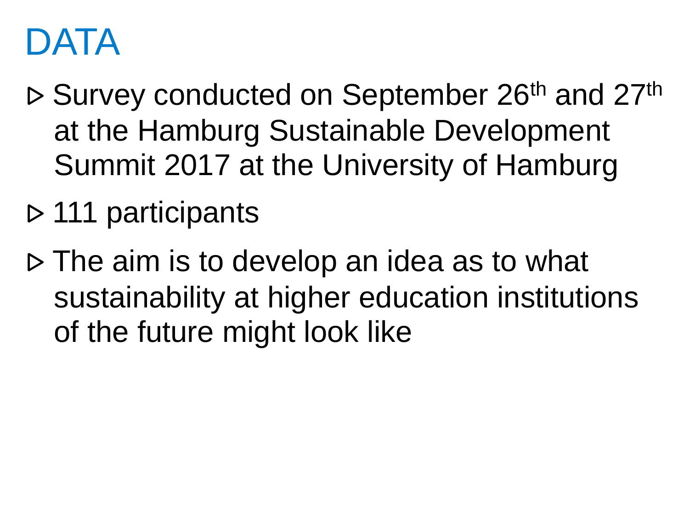# DATA

- ⊳ Survey conducted on September 26th and 27th at the Hamburg Sustainable Development Summit 2017 at the University of Hamburg
- ⊳ 111 participants
- ⊳ The aim is to develop an idea as to what sustainability at higher education institutions of the future might look like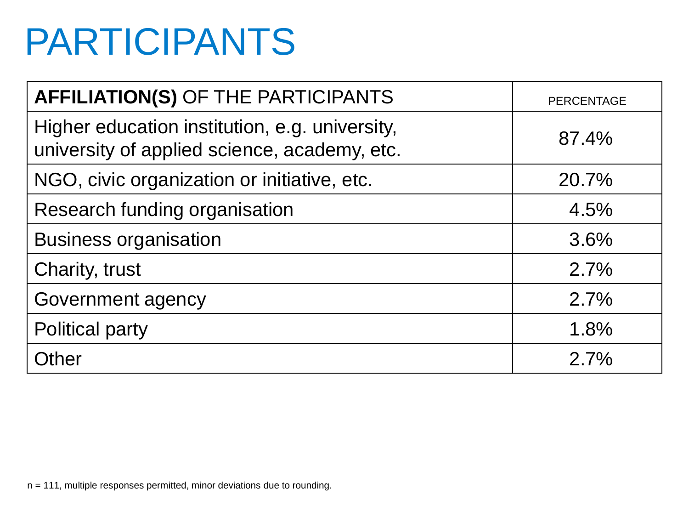# PARTICIPANTS

| <b>AFFILIATION(S) OF THE PARTICIPANTS</b>                                                      | <b>PERCENTAGE</b> |
|------------------------------------------------------------------------------------------------|-------------------|
| Higher education institution, e.g. university,<br>university of applied science, academy, etc. | 87.4%             |
| NGO, civic organization or initiative, etc.                                                    | 20.7%             |
| Research funding organisation                                                                  | 4.5%              |
| <b>Business organisation</b>                                                                   | 3.6%              |
| Charity, trust                                                                                 | 2.7%              |
| Government agency                                                                              | 2.7%              |
| <b>Political party</b>                                                                         | 1.8%              |
| Other                                                                                          | 2.7%              |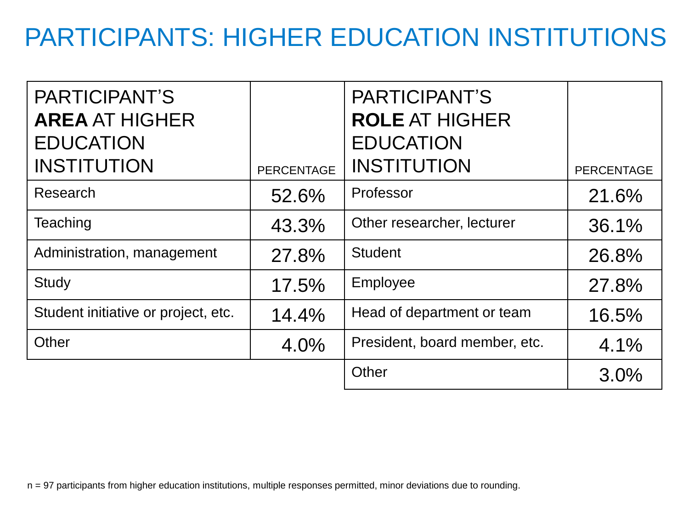### PARTICIPANTS: HIGHER EDUCATION INSTITUTIONS

| PARTICIPANT'S<br><b>AREA AT HIGHER</b><br><b>EDUCATION</b><br><b>INSTITUTION</b> | <b>PERCENTAGE</b> | PARTICIPANT'S<br><b>ROLE AT HIGHER</b><br><b>EDUCATION</b><br><b>INSTITUTION</b> | <b>PERCENTAGE</b> |
|----------------------------------------------------------------------------------|-------------------|----------------------------------------------------------------------------------|-------------------|
|                                                                                  |                   |                                                                                  |                   |
| Research                                                                         | 52.6%             | Professor                                                                        | 21.6%             |
| Teaching                                                                         | 43.3%             | Other researcher, lecturer                                                       | 36.1%             |
| Administration, management                                                       | 27.8%             | <b>Student</b>                                                                   | 26.8%             |
| <b>Study</b>                                                                     | 17.5%             | Employee                                                                         | 27.8%             |
| Student initiative or project, etc.                                              | 14.4%             | Head of department or team                                                       | 16.5%             |
| Other                                                                            | 4.0%              | President, board member, etc.                                                    | 4.1%              |
|                                                                                  |                   | Other                                                                            | 3.0%              |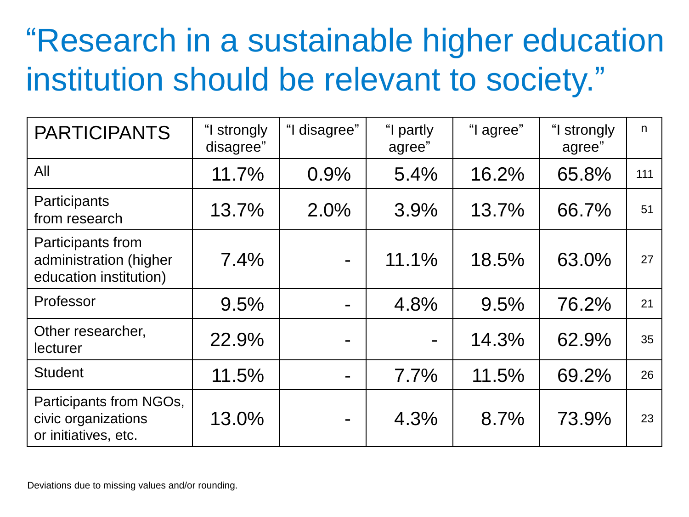## "Research in a sustainable higher education institution should be relevant to society."

| <b>PARTICIPANTS</b>                                                    | "I strongly<br>disagree" | "I disagree" | "I partly<br>agree" | "I agree" | "I strongly<br>agree" | n   |
|------------------------------------------------------------------------|--------------------------|--------------|---------------------|-----------|-----------------------|-----|
| All                                                                    | 11.7%                    | 0.9%         | 5.4%                | 16.2%     | 65.8%                 | 111 |
| Participants<br>from research                                          | 13.7%                    | 2.0%         | 3.9%                | 13.7%     | 66.7%                 | 51  |
| Participants from<br>administration (higher<br>education institution)  | 7.4%                     |              | 11.1%               | 18.5%     | 63.0%                 | 27  |
| Professor                                                              | 9.5%                     |              | 4.8%                | 9.5%      | 76.2%                 | 21  |
| Other researcher,<br>lecturer                                          | 22.9%                    |              |                     | 14.3%     | 62.9%                 | 35  |
| <b>Student</b>                                                         | 11.5%                    |              | 7.7%                | 11.5%     | 69.2%                 | 26  |
| Participants from NGOs,<br>civic organizations<br>or initiatives, etc. | 13.0%                    |              | 4.3%                | 8.7%      | 73.9%                 | 23  |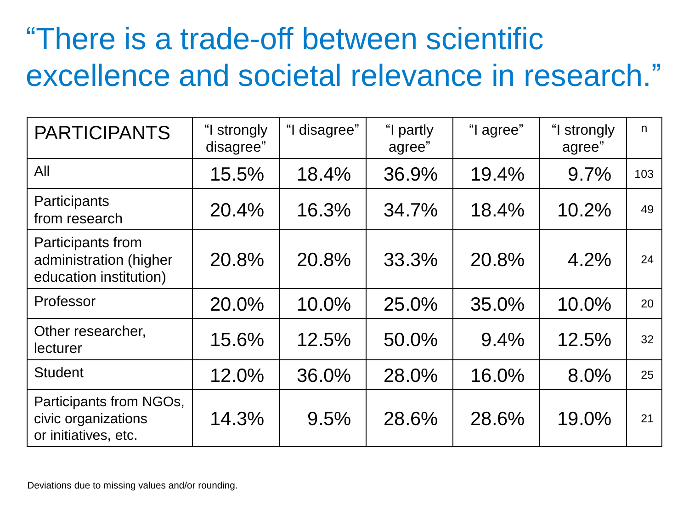### "There is a trade-off between scientific excellence and societal relevance in research."

| <b>PARTICIPANTS</b>                                                    | "I strongly<br>disagree" | "I disagree" | "I partly<br>agree" | "I agree" | "I strongly<br>agree" | n   |
|------------------------------------------------------------------------|--------------------------|--------------|---------------------|-----------|-----------------------|-----|
| All                                                                    | 15.5%                    | 18.4%        | 36.9%               | 19.4%     | 9.7%                  | 103 |
| Participants<br>from research                                          | 20.4%                    | 16.3%        | 34.7%               | 18.4%     | 10.2%                 | 49  |
| Participants from<br>administration (higher<br>education institution)  | 20.8%                    | 20.8%        | 33.3%               | 20.8%     | 4.2%                  | 24  |
| Professor                                                              | 20.0%                    | 10.0%        | 25.0%               | 35.0%     | 10.0%                 | 20  |
| Other researcher,<br>lecturer                                          | 15.6%                    | 12.5%        | 50.0%               | 9.4%      | 12.5%                 | 32  |
| <b>Student</b>                                                         | 12.0%                    | 36.0%        | 28.0%               | 16.0%     | 8.0%                  | 25  |
| Participants from NGOs,<br>civic organizations<br>or initiatives, etc. | 14.3%                    | 9.5%         | 28.6%               | 28.6%     | 19.0%                 | 21  |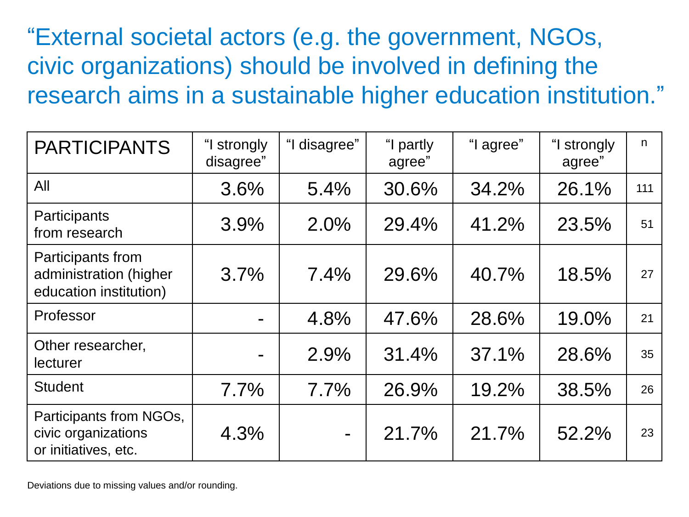"External societal actors (e.g. the government, NGOs, civic organizations) should be involved in defining the research aims in a sustainable higher education institution."

| <b>PARTICIPANTS</b>                                                    | "I strongly<br>disagree" | "I disagree"   | "I partly<br>agree" | "I agree" | "I strongly<br>agree" | $\mathsf{n}$ |
|------------------------------------------------------------------------|--------------------------|----------------|---------------------|-----------|-----------------------|--------------|
| All                                                                    | 3.6%                     | 5.4%           | 30.6%               | 34.2%     | 26.1%                 | 111          |
| Participants<br>from research                                          | 3.9%                     | 2.0%           | 29.4%               | 41.2%     | 23.5%                 | 51           |
| Participants from<br>administration (higher<br>education institution)  | 3.7%                     | 7.4%           | 29.6%               | 40.7%     | 18.5%                 | 27           |
| Professor                                                              |                          | 4.8%           | 47.6%               | 28.6%     | 19.0%                 | 21           |
| Other researcher,<br>lecturer                                          |                          | 2.9%           | 31.4%               | $37.1\%$  | 28.6%                 | 35           |
| <b>Student</b>                                                         | 7.7%                     | 7.7%           | 26.9%               | 19.2%     | 38.5%                 | 26           |
| Participants from NGOs,<br>civic organizations<br>or initiatives, etc. | 4.3%                     | $\blacksquare$ | 21.7%               | 21.7%     | 52.2%                 | 23           |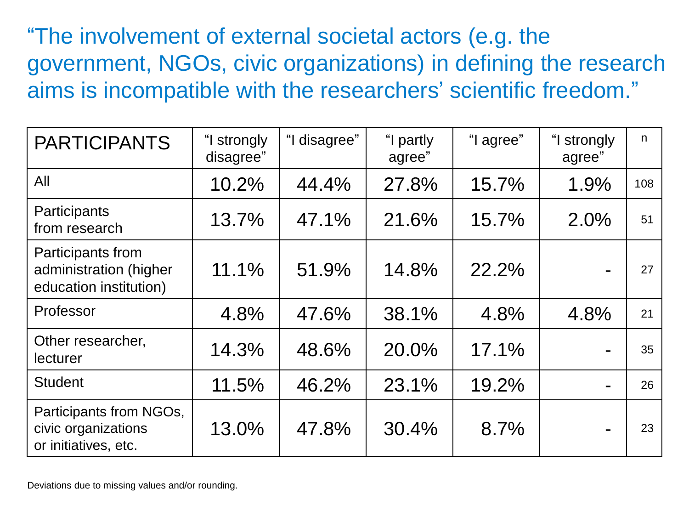"The involvement of external societal actors (e.g. the government, NGOs, civic organizations) in defining the research aims is incompatible with the researchers' scientific freedom."

| <b>PARTICIPANTS</b>                                                    | "I strongly<br>disagree" | "I disagree" | "I partly<br>agree" | "I agree" | "I strongly<br>agree" | n   |
|------------------------------------------------------------------------|--------------------------|--------------|---------------------|-----------|-----------------------|-----|
| All                                                                    | 10.2%                    | 44.4%        | 27.8%               | 15.7%     | 1.9%                  | 108 |
| Participants<br>from research                                          | 13.7%                    | 47.1%        | 21.6%               | 15.7%     | 2.0%                  | 51  |
| Participants from<br>administration (higher<br>education institution)  | 11.1%                    | 51.9%        | 14.8%               | 22.2%     | $\blacksquare$        | 27  |
| Professor                                                              | 4.8%                     | 47.6%        | 38.1%               | 4.8%      | 4.8%                  | 21  |
| Other researcher,<br>lecturer                                          | 14.3%                    | 48.6%        | 20.0%               | 17.1%     |                       | 35  |
| <b>Student</b>                                                         | 11.5%                    | 46.2%        | 23.1%               | 19.2%     | $\blacksquare$        | 26  |
| Participants from NGOs,<br>civic organizations<br>or initiatives, etc. | 13.0%                    | 47.8%        | 30.4%               | 8.7%      | $\blacksquare$        | 23  |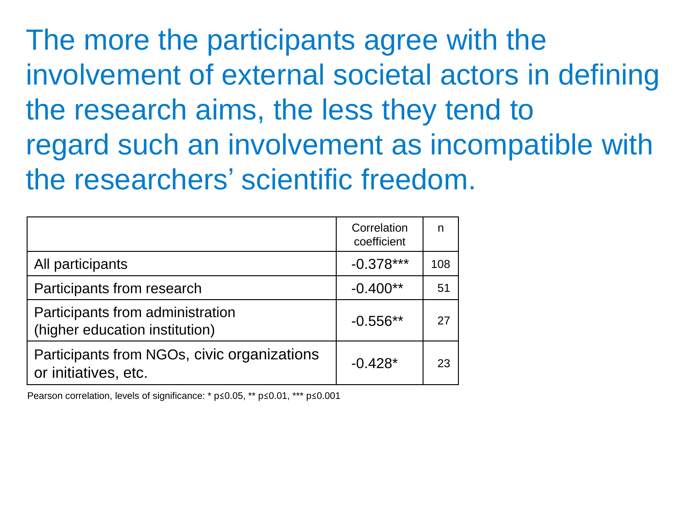The more the participants agree with the involvement of external societal actors in defining the research aims, the less they tend to regard such an involvement as incompatible with the researchers' scientific freedom.

|                                                                     | Correlation<br>coefficient | n   |
|---------------------------------------------------------------------|----------------------------|-----|
| All participants                                                    | $-0.378***$                | 108 |
| Participants from research                                          | $-0.400**$                 | 51  |
| Participants from administration<br>(higher education institution)  | $-0.556**$                 | 27  |
| Participants from NGOs, civic organizations<br>or initiatives, etc. | $-0.428*$                  | 23  |

Pearson correlation, levels of significance: \* p≤0.05, \*\* p≤0.01, \*\*\* p≤0.001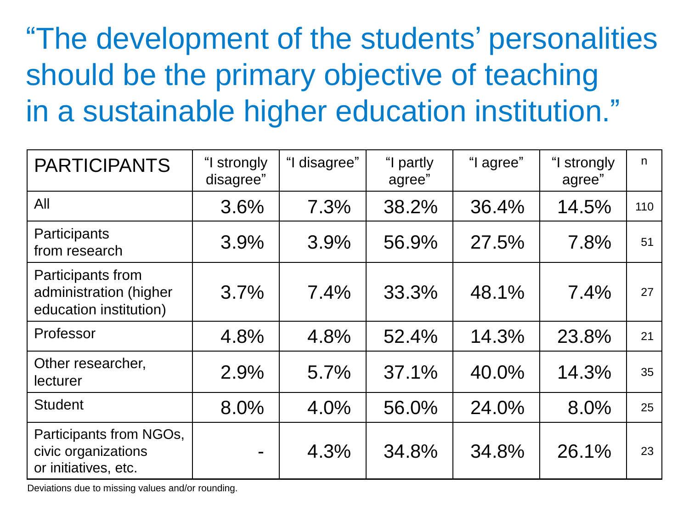"The development of the students' personalities should be the primary objective of teaching in a sustainable higher education institution."

| <b>PARTICIPANTS</b>                                                    | "I strongly<br>disagree" | "I disagree" | "I partly<br>agree" | "I agree" | "I strongly<br>agree" | n   |
|------------------------------------------------------------------------|--------------------------|--------------|---------------------|-----------|-----------------------|-----|
| All                                                                    | 3.6%                     | 7.3%         | 38.2%               | 36.4%     | 14.5%                 | 110 |
| Participants<br>from research                                          | 3.9%                     | 3.9%         | 56.9%               | 27.5%     | 7.8%                  | 51  |
| Participants from<br>administration (higher<br>education institution)  | 3.7%                     | 7.4%         | 33.3%               | 48.1%     | 7.4%                  | 27  |
| Professor                                                              | 4.8%                     | 4.8%         | 52.4%               | 14.3%     | 23.8%                 | 21  |
| Other researcher,<br>lecturer                                          | 2.9%                     | 5.7%         | 37.1%               | 40.0%     | 14.3%                 | 35  |
| <b>Student</b>                                                         | 8.0%                     | 4.0%         | 56.0%               | 24.0%     | 8.0%                  | 25  |
| Participants from NGOs,<br>civic organizations<br>or initiatives, etc. |                          | 4.3%         | 34.8%               | 34.8%     | 26.1%                 | 23  |